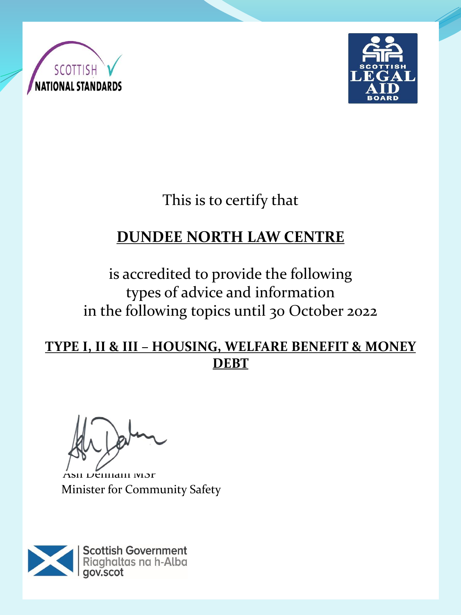



This is to certify that

# **DUNDEE NORTH LAW CENTRE**

is accredited to provide the following types of advice and information in the following topics until 30 October 2022

#### **TYPE I, II & III – HOUSING, WELFARE BENEFIT & MONEY DEBT**

Ash Denham MSP Minister for Community Safety

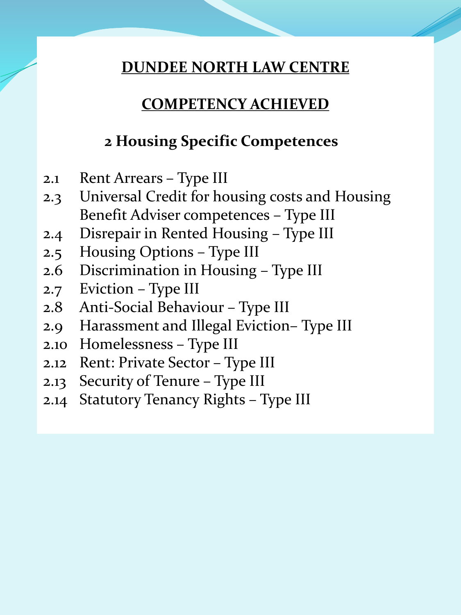## **COMPETENCY ACHIEVED**

## **2 Housing Specific Competences**

- 2.1 Rent Arrears Type III
- 2.3 Universal Credit for housing costs and Housing Benefit Adviser competences – Type III
- 2.4 Disrepair in Rented Housing Type III
- 2.5 Housing Options Type III
- 2.6 Discrimination in Housing Type III
- 2.7 Eviction Type III
- 2.8 Anti-Social Behaviour Type III
- 2.9 Harassment and Illegal Eviction– Type III
- 2.10 Homelessness Type III
- 2.12 Rent: Private Sector Type III
- 2.13 Security of Tenure Type III
- 2.14 Statutory Tenancy Rights Type III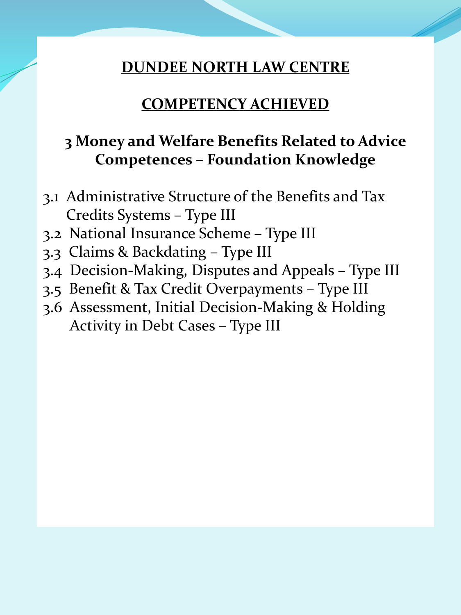#### **COMPETENCY ACHIEVED**

## **3 Money and Welfare Benefits Related to Advice Competences – Foundation Knowledge**

- 3.1 Administrative Structure of the Benefits and Tax Credits Systems – Type III
- 3.2 National Insurance Scheme Type III
- 3.3 Claims & Backdating Type III
- 3.4 Decision-Making, Disputes and Appeals Type III
- 3.5 Benefit & Tax Credit Overpayments Type III
- 3.6 Assessment, Initial Decision-Making & Holding Activity in Debt Cases – Type III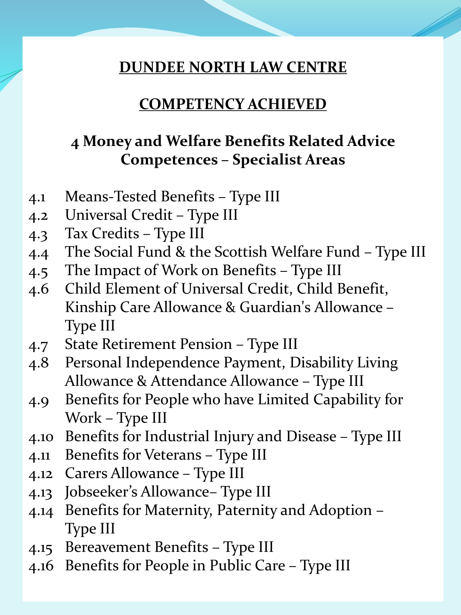#### **COMPETENCY ACHIEVED**

## **4 Money and Welfare Benefits Related Advice Competences – Specialist Areas**

- 4.1 Means-Tested Benefits Type III
- 4.2 Universal Credit Type III
- 4.3 Tax Credits Type III
- 4.4 The Social Fund & the Scottish Welfare Fund Type III
- 4.5 The Impact of Work on Benefits Type III
- 4.6 Child Element of Universal Credit, Child Benefit, Kinship Care Allowance & Guardian's Allowance – Type III
- 4.7 State Retirement Pension Type III
- 4.8 Personal Independence Payment, Disability Living Allowance & Attendance Allowance – Type III
- 4.9 Benefits for People who have Limited Capability for Work – Type III
- 4.10 Benefits for Industrial Injury and Disease Type III
- 4.11 Benefits for Veterans Type III
- 4.12 Carers Allowance Type III
- 4.13 Jobseeker's Allowance– Type III
- 4.14 Benefits for Maternity, Paternity and Adoption Type III
- 4.15 Bereavement Benefits Type III
- 4.16 Benefits for People in Public Care Type III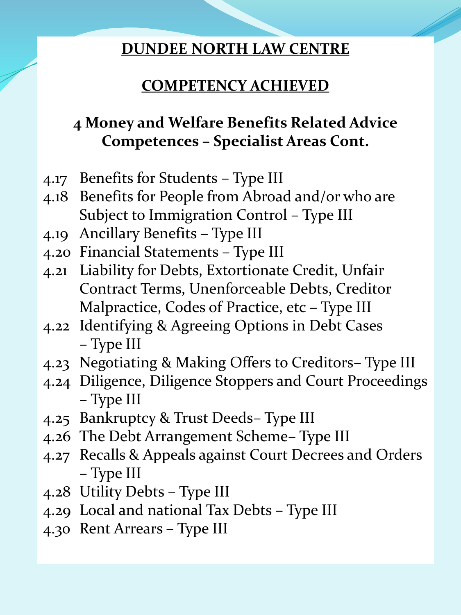## **COMPETENCY ACHIEVED**

# **4 Money and Welfare Benefits Related Advice Competences – Specialist Areas Cont.**

- 4.17 Benefits for Students Type III
- 4.18 Benefits for People from Abroad and/or who are Subject to Immigration Control – Type III
- 4.19 Ancillary Benefits Type III
- 4.20 Financial Statements Type III
- 4.21 Liability for Debts, Extortionate Credit, Unfair Contract Terms, Unenforceable Debts, Creditor Malpractice, Codes of Practice, etc – Type III
- 4.22 Identifying & Agreeing Options in Debt Cases – Type III
- 4.23 Negotiating & Making Offers to Creditors– Type III
- 4.24 Diligence, Diligence Stoppers and Court Proceedings – Type III
- 4.25 Bankruptcy & Trust Deeds– Type III
- 4.26 The Debt Arrangement Scheme– Type III
- 4.27 Recalls & Appeals against Court Decrees and Orders – Type III
- 4.28 Utility Debts Type III
- 4.29 Local and national Tax Debts Type III
- 4.30 Rent Arrears Type III